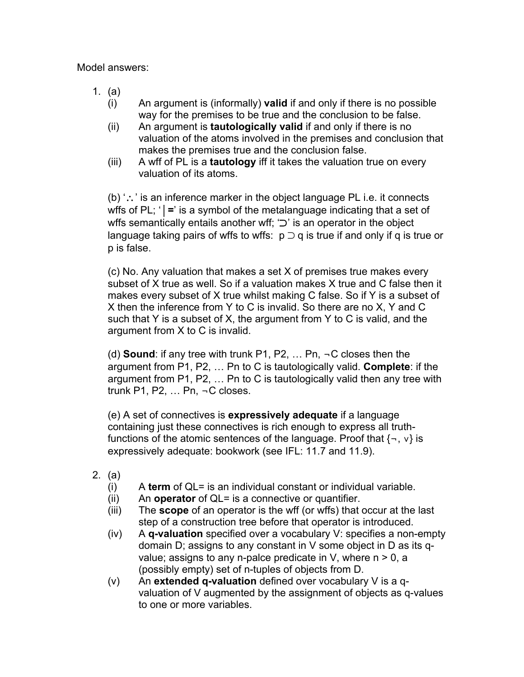Model answers:

- 1. (a)
	- (i) An argument is (informally) **valid** if and only if there is no possible way for the premises to be true and the conclusion to be false.
	- (ii) An argument is **tautologically valid** if and only if there is no valuation of the atoms involved in the premises and conclusion that makes the premises true and the conclusion false.
	- (iii) A wff of PL is a **tautology** iff it takes the valuation true on every valuation of its atoms.

(b) '∴' is an inference marker in the object language PL i.e. it connects wffs of PL; '  $\vert$  =' is a symbol of the metalanguage indicating that a set of wffs semantically entails another wff; '⊃' is an operator in the object language taking pairs of wffs to wffs:  $p \supset q$  is true if and only if q is true or p is false.

(c) No. Any valuation that makes a set X of premises true makes every subset of X true as well. So if a valuation makes X true and C false then it makes every subset of X true whilst making C false. So if Y is a subset of X then the inference from Y to C is invalid. So there are no X, Y and C such that Y is a subset of X, the argument from Y to C is valid, and the argument from X to C is invalid.

(d) **Sound**: if any tree with trunk P1, P2, … Pn, ¬C closes then the argument from P1, P2, … Pn to C is tautologically valid. **Complete**: if the argument from P1, P2, … Pn to C is tautologically valid then any tree with trunk P1, P2, … Pn, ¬C closes.

(e) A set of connectives is **expressively adequate** if a language containing just these connectives is rich enough to express all truthfunctions of the atomic sentences of the language. Proof that {¬, ∨} is expressively adequate: bookwork (see IFL: 11.7 and 11.9).

- 2. (a)
	- (i) A **term** of QL= is an individual constant or individual variable.
	- (ii) An **operator** of QL= is a connective or quantifier.
	- (iii) The **scope** of an operator is the wff (or wffs) that occur at the last step of a construction tree before that operator is introduced.
	- (iv) A **q-valuation** specified over a vocabulary V: specifies a non-empty domain D; assigns to any constant in V some object in D as its qvalue; assigns to any n-palce predicate in  $V$ , where  $n > 0$ , a (possibly empty) set of n-tuples of objects from D.
	- (v) An **extended q-valuation** defined over vocabulary V is a qvaluation of V augmented by the assignment of objects as q-values to one or more variables.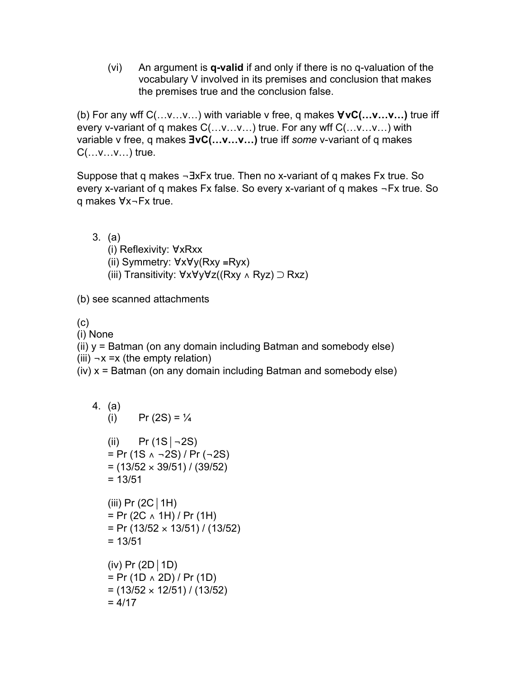(vi) An argument is **q-valid** if and only if there is no q-valuation of the vocabulary V involved in its premises and conclusion that makes the premises true and the conclusion false.

(b) For any wff C(…v…v…) with variable v free, q makes ∀**vC(…v…v…)** true iff every v-variant of q makes C(…v…v…) true. For any wff C(…v…v…) with variable v free, q makes ∃**vC(…v…v…)** true iff *some* v-variant of q makes  $C(\ldots v \ldots v \ldots)$  true.

Suppose that q makes ¬∃xFx true. Then no x-variant of q makes Fx true. So every x-variant of q makes Fx false. So every x-variant of q makes ¬Fx true. So q makes ∀x¬Fx true.

- 3. (a) (i) Reflexivity: ∀xRxx (ii) Symmetry: ∀x∀y(Rxy ≡Ryx)
	- (iii) Transitivity: ∀x∀y∀z((Rxy ∧ Ryz) ⊃ Rxz)

(b) see scanned attachments

(c)

(i) None

(ii) y = Batman (on any domain including Batman and somebody else) (iii)  $\neg x = x$  (the empty relation)

(iv) x = Batman (on any domain including Batman and somebody else)

4. (a)  
\n(i) 
$$
Pr(2S) = \frac{1}{4}
$$
  
\n(ii)  $Pr(1S|-2S)$   
\n $= Pr(1S \land -2S)/Pr(-2S)$   
\n $= (13/52 \times 39/51)/ (39/52)$   
\n $= 13/51$   
\n(iii)  $Pr(2C|1H)$   
\n $= Pr(2C \land 1H)/Pr(1H)$   
\n $= Pr(13/52 \times 13/51)/ (13/52)$   
\n $= 13/51$   
\n(iv)  $Pr(2D|1D)$   
\n $= Pr(1D \land 2D)/Pr(1D)$   
\n $= (13/52 \times 12/51)/ (13/52)$   
\n $= 4/17$